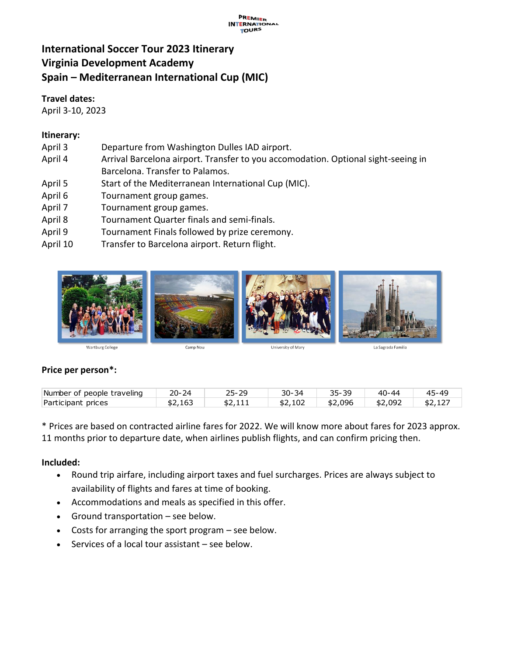#### **PREMIER**<br>INTERNATIONAL **TOURS**

# **International Soccer Tour 2023 Itinerary Virginia Development Academy Spain – Mediterranean International Cup (MIC)**

#### **Travel dates:**

April 3-10, 2023

# **Itinerary:**

- April 3 Departure from Washington Dulles IAD airport.
- April 4 Arrival Barcelona airport. Transfer to you accomodation. Optional sight-seeing in Barcelona. Transfer to Palamos.
- April 5 Start of the Mediterranean International Cup (MIC).
- April 6 Tournament group games.
- April 7 Tournament group games.
- April 8 Tournament Quarter finals and semi-finals.
- April 9 Tournament Finals followed by prize ceremony.
- April 10 Transfer to Barcelona airport. Return flight.



# **Price per person\*:**

| Number of people traveling | 20-<br>74 | 고 - | 30-<br>34 | 35-39   | 40-44   | 45-40   |
|----------------------------|-----------|-----|-----------|---------|---------|---------|
| Participant prices         | \$2,163   |     | \$2,102   | \$2,096 | \$2.092 | \$2,12, |

\* Prices are based on contracted airline fares for 2022. We will know more about fares for 2023 approx. 11 months prior to departure date, when airlines publish flights, and can confirm pricing then.

# **Included:**

- Round trip airfare, including airport taxes and fuel surcharges. Prices are always subject to availability of flights and fares at time of booking.
- Accommodations and meals as specified in this offer.
- Ground transportation see below.
- Costs for arranging the sport program see below.
- Services of a local tour assistant see below.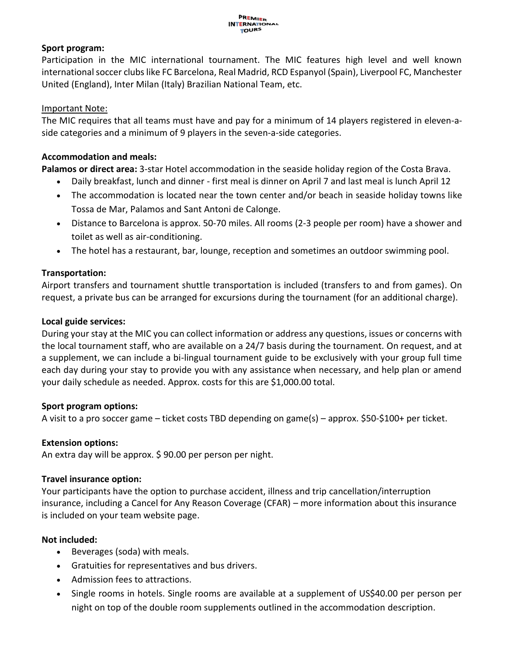#### **Sport program:**

Participation in the MIC international tournament. The MIC features high level and well known international soccer clubs like FC Barcelona, Real Madrid, RCD Espanyol (Spain), Liverpool FC, Manchester United (England), Inter Milan (Italy) Brazilian National Team, etc.

#### Important Note:

The MIC requires that all teams must have and pay for a minimum of 14 players registered in eleven-aside categories and a minimum of 9 players in the seven-a-side categories.

#### **Accommodation and meals:**

**Palamos or direct area:** 3-star Hotel accommodation in the seaside holiday region of the Costa Brava.

- Daily breakfast, lunch and dinner first meal is dinner on April 7 and last meal is lunch April 12
- The accommodation is located near the town center and/or beach in seaside holiday towns like Tossa de Mar, Palamos and Sant Antoni de Calonge.
- Distance to Barcelona is approx. 50-70 miles. All rooms (2-3 people per room) have a shower and toilet as well as air-conditioning.
- The hotel has a restaurant, bar, lounge, reception and sometimes an outdoor swimming pool.

#### **Transportation:**

Airport transfers and tournament shuttle transportation is included (transfers to and from games). On request, a private bus can be arranged for excursions during the tournament (for an additional charge).

#### **Local guide services:**

During your stay at the MIC you can collect information or address any questions, issues or concerns with the local tournament staff, who are available on a 24/7 basis during the tournament. On request, and at a supplement, we can include a bi-lingual tournament guide to be exclusively with your group full time each day during your stay to provide you with any assistance when necessary, and help plan or amend your daily schedule as needed. Approx. costs for this are \$1,000.00 total.

#### **Sport program options:**

A visit to a pro soccer game – ticket costs TBD depending on game(s) – approx. \$50-\$100+ per ticket.

# **Extension options:**

An extra day will be approx. \$ 90.00 per person per night.

# **Travel insurance option:**

Your participants have the option to purchase accident, illness and trip cancellation/interruption insurance, including a Cancel for Any Reason Coverage (CFAR) – more information about this insurance is included on your team website page.

# **Not included:**

- Beverages (soda) with meals.
- Gratuities for representatives and bus drivers.
- Admission fees to attractions.
- Single rooms in hotels. Single rooms are available at a supplement of US\$40.00 per person per night on top of the double room supplements outlined in the accommodation description.